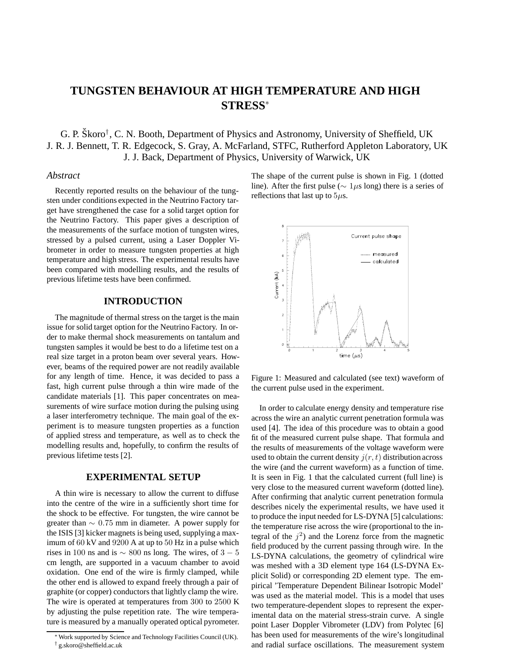# **TUNGSTEN BEHAVIOUR AT HIGH TEMPERATURE AND HIGH STRESS**<sup>∗</sup>

G. P. Škoro<sup>†</sup>, C. N. Booth, Department of Physics and Astronomy, University of Sheffield, UK J. R. J. Bennett, T. R. Edgecock, S. Gray, A. McFarland, STFC, Rutherford Appleton Laboratory, UK J. J. Back, Department of Physics, University of Warwick, UK

### *Abstract*

Recently reported results on the behaviour of the tungsten under conditions expected in the Neutrino Factory target have strengthened the case for a solid target option for the Neutrino Factory. This paper gives a description of the measurements of the surface motion of tungsten wires, stressed by a pulsed current, using a Laser Doppler Vibrometer in order to measure tungsten properties at high temperature and high stress. The experimental results have been compared with modelling results, and the results of previous lifetime tests have been confirmed.

### **INTRODUCTION**

The magnitude of thermal stress on the target is the main issue for solid target option for the Neutrino Factory. In order to make thermal shock measurements on tantalum and tungsten samples it would be best to do a lifetime test on a real size target in a proton beam over several years. However, beams of the required power are not readily available for any length of time. Hence, it was decided to pass a fast, high current pulse through a thin wire made of the candidate materials [1]. This paper concentrates on measurements of wire surface motion during the pulsing using a laser interferometry technique. The main goal of the experiment is to measure tungsten properties as a function of applied stress and temperature, as well as to check the modelling results and, hopefully, to confirm the results of previous lifetime tests [2].

## **EXPERIMENTAL SETUP**

A thin wire is necessary to allow the current to diffuse into the centre of the wire in a sufficiently short time for the shock to be effective. For tungsten, the wire cannot be greater than  $\sim 0.75$  mm in diameter. A power supply for the ISIS [3] kicker magnets is being used, supplying a maximum of 60 kV and 9200 A at up to 50 Hz in a pulse which rises in 100 ns and is  $\sim 800$  ns long. The wires, of 3 – 5 cm length, are supported in a vacuum chamber to avoid oxidation. One end of the wire is firmly clamped, while the other end is allowed to expand freely through a pair of graphite (or copper) conductors that lightly clamp the wire. The wire is operated at temperatures from 300 to 2500 K by adjusting the pulse repetition rate. The wire temperature is measured by a manually operated optical pyrometer. The shape of the current pulse is shown in Fig. 1 (dotted line). After the first pulse ( $\sim 1 \mu s$  long) there is a series of reflections that last up to  $5\mu$ s.



Figure 1: Measured and calculated (see text) waveform of the current pulse used in the experiment.

In order to calculate energy density and temperature rise across the wire an analytic current penetration formula was used [4]. The idea of this procedure was to obtain a good fit of the measured current pulse shape. That formula and the results of measurements of the voltage waveform were used to obtain the current density  $j(r, t)$  distribution across the wire (and the current waveform) as a function of time. It is seen in Fig. 1 that the calculated current (full line) is very close to the measured current waveform (dotted line). After confirming that analytic current penetration formula describes nicely the experimental results, we have used it to produce the input needed for LS-DYNA [5] calculations: the temperature rise across the wire (proportional to the integral of the  $j^2$ ) and the Lorenz force from the magnetic field produced by the current passing through wire. In the LS-DYNA calculations, the geometry of cylindrical wire was meshed with a 3D element type 164 (LS-DYNA Explicit Solid) or corresponding 2D element type. The empirical 'Temperature Dependent Bilinear Isotropic Model' was used as the material model. This is a model that uses two temperature-dependent slopes to represent the experimental data on the material stress-strain curve. A single point Laser Doppler Vibrometer (LDV) from Polytec [6] has been used for measurements of the wire's longitudinal and radial surface oscillations. The measurement system

<sup>∗</sup>Work supported by Science and Technology Facilities Council (UK). † g.skoro@sheffield.ac.uk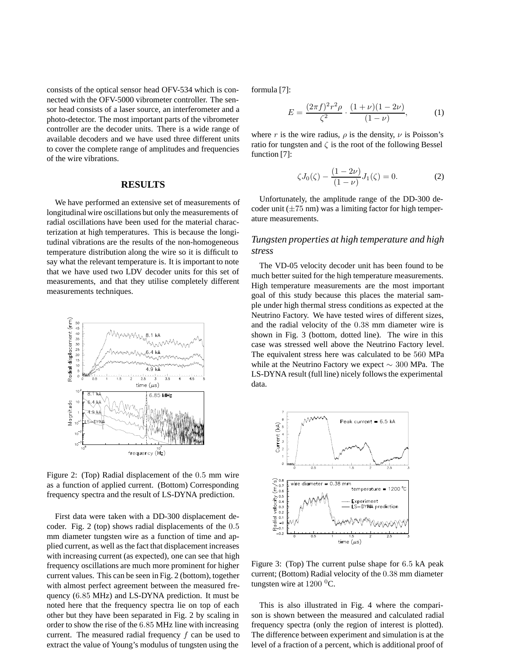consists of the optical sensor head OFV-534 which is connected with the OFV-5000 vibrometer controller. The sensor head consists of a laser source, an interferometer and a photo-detector. The most important parts of the vibrometer controller are the decoder units. There is a wide range of available decoders and we have used three different units to cover the complete range of amplitudes and frequencies of the wire vibrations.

#### **RESULTS**

We have performed an extensive set of measurements of longitudinal wire oscillations but only the measurements of radial oscillations have been used for the material characterization at high temperatures. This is because the longitudinal vibrations are the results of the non-homogeneous temperature distribution along the wire so it is difficult to say what the relevant temperature is. It is important to note that we have used two LDV decoder units for this set of measurements, and that they utilise completely different measurements techniques.



Figure 2: (Top) Radial displacement of the 0.5 mm wire as a function of applied current. (Bottom) Corresponding frequency spectra and the result of LS-DYNA prediction.

First data were taken with a DD-300 displacement decoder. Fig. 2 (top) shows radial displacements of the 0.5 mm diameter tungsten wire as a function of time and applied current, as well as the fact that displacement increases with increasing current (as expected), one can see that high frequency oscillations are much more prominent for higher current values. This can be seen in Fig. 2 (bottom), together with almost perfect agreement between the measured frequency (6.85 MHz) and LS-DYNA prediction. It must be noted here that the frequency spectra lie on top of each other but they have been separated in Fig. 2 by scaling in order to show the rise of the 6.85 MHz line with increasing current. The measured radial frequency  $f$  can be used to extract the value of Young's modulus of tungsten using the

formula [7]:

$$
E = \frac{(2\pi f)^2 r^2 \rho}{\zeta^2} \cdot \frac{(1+\nu)(1-2\nu)}{(1-\nu)},
$$
 (1)

where r is the wire radius,  $\rho$  is the density,  $\nu$  is Poisson's ratio for tungsten and  $\zeta$  is the root of the following Bessel function [7]:

$$
\zeta J_0(\zeta) - \frac{(1 - 2\nu)}{(1 - \nu)} J_1(\zeta) = 0.
$$
 (2)

Unfortunately, the amplitude range of the DD-300 decoder unit  $(\pm 75 \text{ nm})$  was a limiting factor for high temperature measurements.

# *Tungsten properties at high temperature and high stress*

The VD-05 velocity decoder unit has been found to be much better suited for the high temperature measurements. High temperature measurements are the most important goal of this study because this places the material sample under high thermal stress conditions as expected at the Neutrino Factory. We have tested wires of different sizes, and the radial velocity of the 0.38 mm diameter wire is shown in Fig. 3 (bottom, dotted line). The wire in this case was stressed well above the Neutrino Factory level. The equivalent stress here was calculated to be 560 MPa while at the Neutrino Factory we expect  $\sim 300$  MPa. The LS-DYNA result (full line) nicely follows the experimental data.



Figure 3: (Top) The current pulse shape for 6.5 kA peak current; (Bottom) Radial velocity of the 0.38 mm diameter tungsten wire at  $1200<sup>0</sup>C$ .

This is also illustrated in Fig. 4 where the comparison is shown between the measured and calculated radial frequency spectra (only the region of interest is plotted). The difference between experiment and simulation is at the level of a fraction of a percent, which is additional proof of